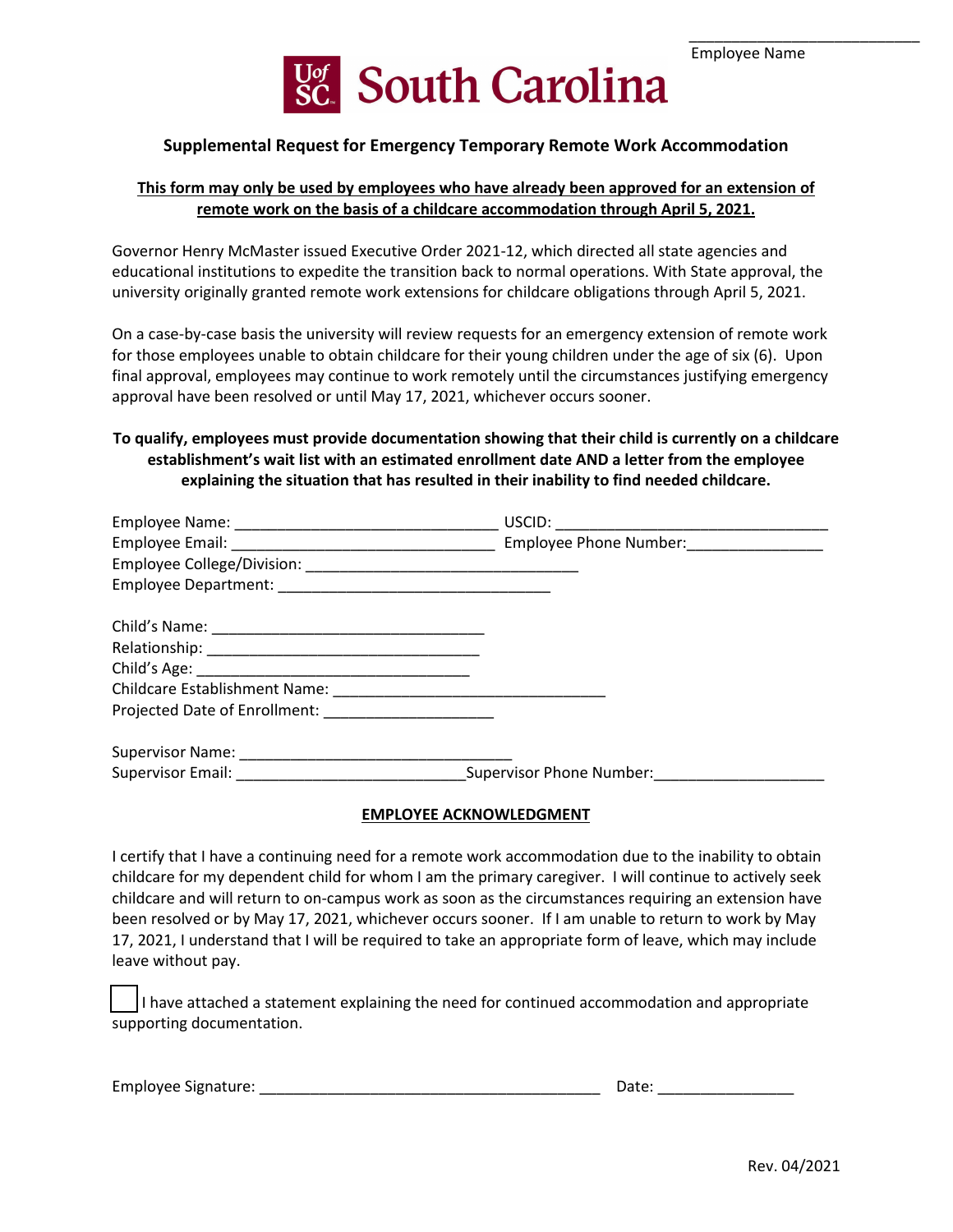\_\_\_\_\_\_\_\_\_\_\_\_\_\_\_\_\_\_\_\_\_\_\_\_\_\_\_



## **Supplemental Request for Emergency Temporary Remote Work Accommodation**

## **This form may only be used by employees who have already been approved for an extension of remote work on the basis of a childcare accommodation through April 5, 2021.**

 educational institutions to expedite the transition back to normal operations. With State approval, the university originally granted remote work extensions for childcare obligations through April 5, 2021. Governor Henry McMaster issued Executive Order 2021-12, which directed all state agencies and

On a case-by-case basis the university will review requests for an emergency extension of remote work for those employees unable to obtain childcare for their young children under the age of six (6). Upon final approval, employees may continue to work remotely until the circumstances justifying emergency approval have been resolved or until May 17, 2021, whichever occurs sooner.

# **establishment's wait list with an estimated enrollment date AND a letter from the employee explaining the situation that has resulted in their inability to find needed childcare. To qualify, employees must provide documentation showing that their child is currently on a childcare**

|                                                       | USCID:                 |
|-------------------------------------------------------|------------------------|
|                                                       | Employee Phone Number: |
|                                                       |                        |
|                                                       |                        |
|                                                       |                        |
|                                                       |                        |
|                                                       |                        |
|                                                       |                        |
| Projected Date of Enrollment: _______________________ |                        |
|                                                       |                        |
|                                                       |                        |

#### **EMPLOYEE ACKNOWLEDGMENT**

 I certify that I have a continuing need for a remote work accommodation due to the inability to obtain childcare for my dependent child for whom I am the primary caregiver. I will continue to actively seek been resolved or by May 17, 2021, whichever occurs sooner. If I am unable to return to work by May 17, 2021, I understand that I will be required to take an appropriate form of leave, which may include childcare and will return to on-campus work as soon as the circumstances requiring an extension have leave without pay.

I have attached a statement explaining the need for continued accommodation and appropriate supporting documentation.

Employee Signature: \_\_\_\_\_\_\_\_\_\_\_\_\_\_\_\_\_\_\_\_\_\_\_\_\_\_\_\_\_\_\_\_\_\_\_\_\_\_\_\_ Date: \_\_\_\_\_\_\_\_\_\_\_\_\_\_\_\_